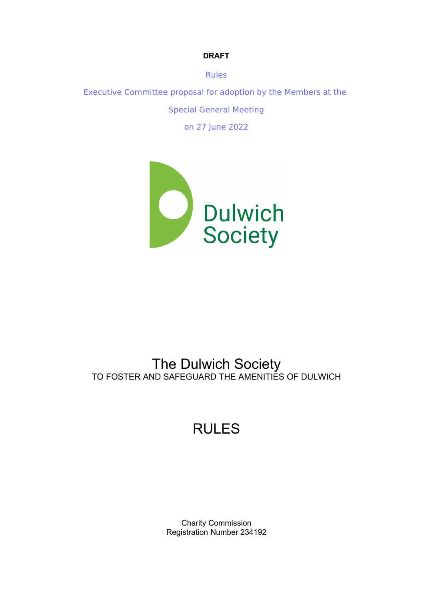Rules Executive Committee proposal for adoption by the Members at the Special General Meeting on 27 June 2022

**DRAFT**



## The Dulwich Society TO FOSTER AND SAFEGUARD THE AMENITIES OF DULWICH

# RULES

Charity Commission Registration Number 234192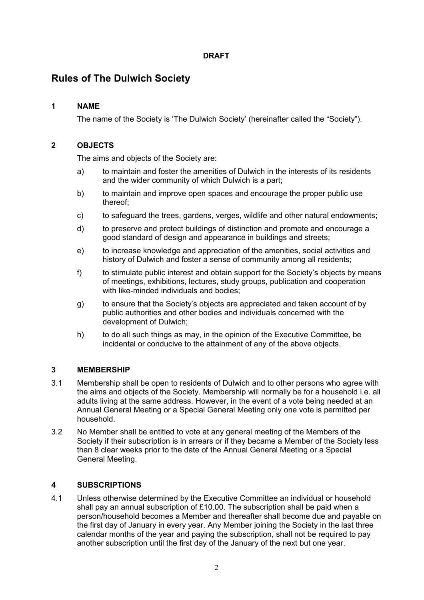### **Rules of The Dulwich Society**

#### **1 NAME**

The name of the Society is 'The Dulwich Society' (hereinafter called the "Society").

#### **2 OBJECTS**

The aims and objects of the Society are:

- a) to maintain and foster the amenities of Dulwich in the interests of its residents and the wider community of which Dulwich is a part;
- b) to maintain and improve open spaces and encourage the proper public use thereof;
- c) to safeguard the trees, gardens, verges, wildlife and other natural endowments;
- d) to preserve and protect buildings of distinction and promote and encourage a good standard of design and appearance in buildings and streets;
- e) to increase knowledge and appreciation of the amenities, social activities and history of Dulwich and foster a sense of community among all residents;
- f) to stimulate public interest and obtain support for the Society's objects by means of meetings, exhibitions, lectures, study groups, publication and cooperation with like-minded individuals and bodies;
- g) to ensure that the Society's objects are appreciated and taken account of by public authorities and other bodies and individuals concerned with the development of Dulwich;
- h) to do all such things as may, in the opinion of the Executive Committee, be incidental or conducive to the attainment of any of the above objects.

#### **3 MEMBERSHIP**

- 3.1 Membership shall be open to residents of Dulwich and to other persons who agree with the aims and objects of the Society. Membership will normally be for a household i.e. all adults living at the same address. However, in the event of a vote being needed at an Annual General Meeting or a Special General Meeting only one vote is permitted per household.
- 3.2 No Member shall be entitled to vote at any general meeting of the Members of the Society if their subscription is in arrears or if they became a Member of the Society less than 8 clear weeks prior to the date of the Annual General Meeting or a Special General Meeting.

#### **4 SUBSCRIPTIONS**

4.1 Unless otherwise determined by the Executive Committee an individual or household shall pay an annual subscription of £10.00. The subscription shall be paid when a person/household becomes a Member and thereafter shall become due and payable on the first day of January in every year. Any Member joining the Society in the last three calendar months of the year and paying the subscription, shall not be required to pay another subscription until the first day of the January of the next but one year.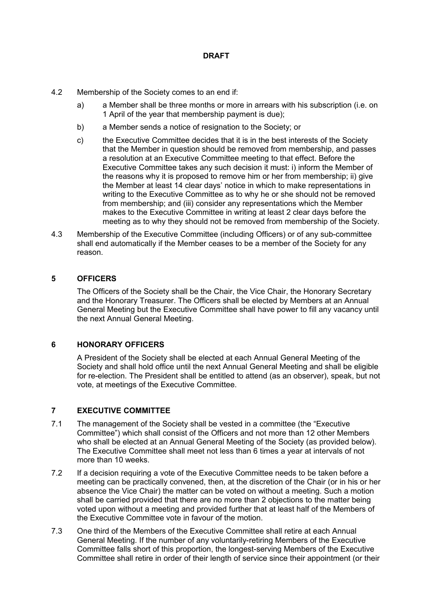- 4.2 Membership of the Society comes to an end if:
	- a) a Member shall be three months or more in arrears with his subscription (i.e. on 1 April of the year that membership payment is due);
	- b) a Member sends a notice of resignation to the Society; or
	- c) the Executive Committee decides that it is in the best interests of the Society that the Member in question should be removed from membership, and passes a resolution at an Executive Committee meeting to that effect. Before the Executive Committee takes any such decision it must: i) inform the Member of the reasons why it is proposed to remove him or her from membership; ii) give the Member at least 14 clear days' notice in which to make representations in writing to the Executive Committee as to why he or she should not be removed from membership; and (iii) consider any representations which the Member makes to the Executive Committee in writing at least 2 clear days before the meeting as to why they should not be removed from membership of the Society.
- 4.3 Membership of the Executive Committee (including Officers) or of any sub-committee shall end automatically if the Member ceases to be a member of the Society for any reason.

#### **5 OFFICERS**

The Officers of the Society shall be the Chair, the Vice Chair, the Honorary Secretary and the Honorary Treasurer. The Officers shall be elected by Members at an Annual General Meeting but the Executive Committee shall have power to fill any vacancy until the next Annual General Meeting.

#### **6 HONORARY OFFICERS**

A President of the Society shall be elected at each Annual General Meeting of the Society and shall hold office until the next Annual General Meeting and shall be eligible for re-election. The President shall be entitled to attend (as an observer), speak, but not vote, at meetings of the Executive Committee.

#### **7 EXECUTIVE COMMITTEE**

- 7.1 The management of the Society shall be vested in a committee (the "Executive Committee") which shall consist of the Officers and not more than 12 other Members who shall be elected at an Annual General Meeting of the Society (as provided below). The Executive Committee shall meet not less than 6 times a year at intervals of not more than 10 weeks.
- 7.2 If a decision requiring a vote of the Executive Committee needs to be taken before a meeting can be practically convened, then, at the discretion of the Chair (or in his or her absence the Vice Chair) the matter can be voted on without a meeting. Such a motion shall be carried provided that there are no more than 2 objections to the matter being voted upon without a meeting and provided further that at least half of the Members of the Executive Committee vote in favour of the motion.
- 7.3 One third of the Members of the Executive Committee shall retire at each Annual General Meeting. If the number of any voluntarily-retiring Members of the Executive Committee falls short of this proportion, the longest-serving Members of the Executive Committee shall retire in order of their length of service since their appointment (or their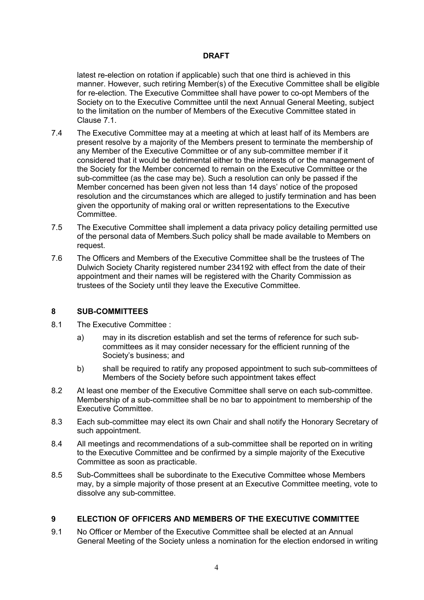latest re-election on rotation if applicable) such that one third is achieved in this manner. However, such retiring Member(s) of the Executive Committee shall be eligible for re-election. The Executive Committee shall have power to co-opt Members of the Society on to the Executive Committee until the next Annual General Meeting, subject to the limitation on the number of Members of the Executive Committee stated in Clause 7.1.

- 7.4 The Executive Committee may at a meeting at which at least half of its Members are present resolve by a majority of the Members present to terminate the membership of any Member of the Executive Committee or of any sub-committee member if it considered that it would be detrimental either to the interests of or the management of the Society for the Member concerned to remain on the Executive Committee or the sub-committee (as the case may be). Such a resolution can only be passed if the Member concerned has been given not less than 14 days' notice of the proposed resolution and the circumstances which are alleged to justify termination and has been given the opportunity of making oral or written representations to the Executive Committee.
- 7.5 The Executive Committee shall implement a data privacy policy detailing permitted use of the personal data of Members.Such policy shall be made available to Members on request.
- 7.6 The Officers and Members of the Executive Committee shall be the trustees of The Dulwich Society Charity registered number 234192 with effect from the date of their appointment and their names will be registered with the Charity Commission as trustees of the Society until they leave the Executive Committee.

#### **8 SUB-COMMITTEES**

- 8.1 The Executive Committee :
	- a) may in its discretion establish and set the terms of reference for such subcommittees as it may consider necessary for the efficient running of the Society's business; and
	- b) shall be required to ratify any proposed appointment to such sub-committees of Members of the Society before such appointment takes effect
- 8.2 At least one member of the Executive Committee shall serve on each sub-committee. Membership of a sub-committee shall be no bar to appointment to membership of the Executive Committee.
- 8.3 Each sub-committee may elect its own Chair and shall notify the Honorary Secretary of such appointment.
- 8.4 All meetings and recommendations of a sub-committee shall be reported on in writing to the Executive Committee and be confirmed by a simple majority of the Executive Committee as soon as practicable.
- 8.5 Sub-Committees shall be subordinate to the Executive Committee whose Members may, by a simple majority of those present at an Executive Committee meeting, vote to dissolve any sub-committee.

#### **9 ELECTION OF OFFICERS AND MEMBERS OF THE EXECUTIVE COMMITTEE**

9.1 No Officer or Member of the Executive Committee shall be elected at an Annual General Meeting of the Society unless a nomination for the election endorsed in writing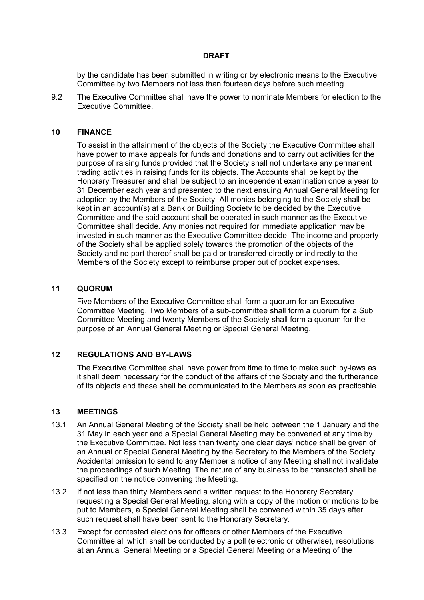by the candidate has been submitted in writing or by electronic means to the Executive Committee by two Members not less than fourteen days before such meeting.

9.2 The Executive Committee shall have the power to nominate Members for election to the Executive Committee.

#### **10 FINANCE**

To assist in the attainment of the objects of the Society the Executive Committee shall have power to make appeals for funds and donations and to carry out activities for the purpose of raising funds provided that the Society shall not undertake any permanent trading activities in raising funds for its objects. The Accounts shall be kept by the Honorary Treasurer and shall be subject to an independent examination once a year to 31 December each year and presented to the next ensuing Annual General Meeting for adoption by the Members of the Society. All monies belonging to the Society shall be kept in an account(s) at a Bank or Building Society to be decided by the Executive Committee and the said account shall be operated in such manner as the Executive Committee shall decide. Any monies not required for immediate application may be invested in such manner as the Executive Committee decide. The income and property of the Society shall be applied solely towards the promotion of the objects of the Society and no part thereof shall be paid or transferred directly or indirectly to the Members of the Society except to reimburse proper out of pocket expenses.

#### **11 QUORUM**

Five Members of the Executive Committee shall form a quorum for an Executive Committee Meeting. Two Members of a sub-committee shall form a quorum for a Sub Committee Meeting and twenty Members of the Society shall form a quorum for the purpose of an Annual General Meeting or Special General Meeting.

#### **12 REGULATIONS AND BY-LAWS**

The Executive Committee shall have power from time to time to make such by-laws as it shall deem necessary for the conduct of the affairs of the Society and the furtherance of its objects and these shall be communicated to the Members as soon as practicable.

#### **13 MEETINGS**

- 13.1 An Annual General Meeting of the Society shall be held between the 1 January and the 31 May in each year and a Special General Meeting may be convened at any time by the Executive Committee. Not less than twenty one clear days' notice shall be given of an Annual or Special General Meeting by the Secretary to the Members of the Society. Accidental omission to send to any Member a notice of any Meeting shall not invalidate the proceedings of such Meeting. The nature of any business to be transacted shall be specified on the notice convening the Meeting.
- 13.2 If not less than thirty Members send a written request to the Honorary Secretary requesting a Special General Meeting, along with a copy of the motion or motions to be put to Members, a Special General Meeting shall be convened within 35 days after such request shall have been sent to the Honorary Secretary.
- 13.3 Except for contested elections for officers or other Members of the Executive Committee all which shall be conducted by a poll (electronic or otherwise), resolutions at an Annual General Meeting or a Special General Meeting or a Meeting of the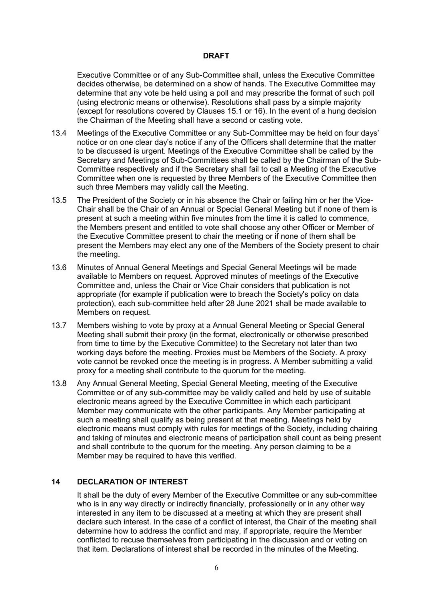Executive Committee or of any Sub-Committee shall, unless the Executive Committee decides otherwise, be determined on a show of hands. The Executive Committee may determine that any vote be held using a poll and may prescribe the format of such poll (using electronic means or otherwise). Resolutions shall pass by a simple majority (except for resolutions covered by Clauses 15.1 or 16). In the event of a hung decision the Chairman of the Meeting shall have a second or casting vote.

- 13.4 Meetings of the Executive Committee or any Sub-Committee may be held on four days' notice or on one clear day's notice if any of the Officers shall determine that the matter to be discussed is urgent. Meetings of the Executive Committee shall be called by the Secretary and Meetings of Sub-Committees shall be called by the Chairman of the Sub-Committee respectively and if the Secretary shall fail to call a Meeting of the Executive Committee when one is requested by three Members of the Executive Committee then such three Members may validly call the Meeting.
- 13.5 The President of the Society or in his absence the Chair or failing him or her the Vice-Chair shall be the Chair of an Annual or Special General Meeting but if none of them is present at such a meeting within five minutes from the time it is called to commence, the Members present and entitled to vote shall choose any other Officer or Member of the Executive Committee present to chair the meeting or if none of them shall be present the Members may elect any one of the Members of the Society present to chair the meeting.
- 13.6 Minutes of Annual General Meetings and Special General Meetings will be made available to Members on request. Approved minutes of meetings of the Executive Committee and, unless the Chair or Vice Chair considers that publication is not appropriate (for example if publication were to breach the Society's policy on data protection), each sub-committee held after 28 June 2021 shall be made available to Members on request.
- 13.7 Members wishing to vote by proxy at a Annual General Meeting or Special General Meeting shall submit their proxy (in the format, electronically or otherwise prescribed from time to time by the Executive Committee) to the Secretary not later than two working days before the meeting. Proxies must be Members of the Society. A proxy vote cannot be revoked once the meeting is in progress. A Member submitting a valid proxy for a meeting shall contribute to the quorum for the meeting.
- 13.8 Any Annual General Meeting, Special General Meeting, meeting of the Executive Committee or of any sub-committee may be validly called and held by use of suitable electronic means agreed by the Executive Committee in which each participant Member may communicate with the other participants. Any Member participating at such a meeting shall qualify as being present at that meeting. Meetings held by electronic means must comply with rules for meetings of the Society, including chairing and taking of minutes and electronic means of participation shall count as being present and shall contribute to the quorum for the meeting. Any person claiming to be a Member may be required to have this verified.

#### **14 DECLARATION OF INTEREST**

It shall be the duty of every Member of the Executive Committee or any sub-committee who is in any way directly or indirectly financially, professionally or in any other way interested in any item to be discussed at a meeting at which they are present shall declare such interest. In the case of a conflict of interest, the Chair of the meeting shall determine how to address the conflict and may, if appropriate, require the Member conflicted to recuse themselves from participating in the discussion and or voting on that item. Declarations of interest shall be recorded in the minutes of the Meeting.